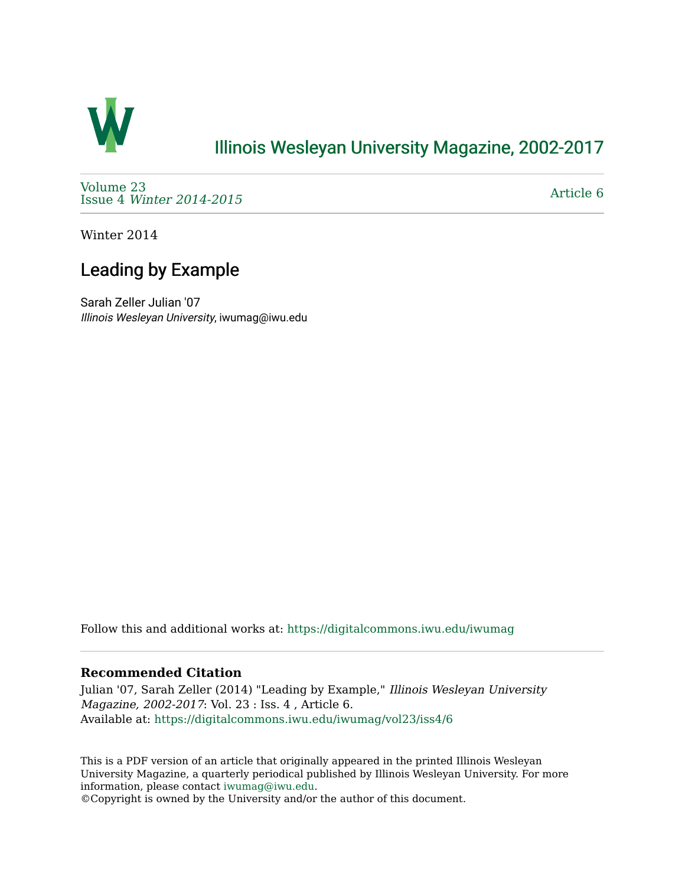

## [Illinois Wesleyan University Magazine, 2002-2017](https://digitalcommons.iwu.edu/iwumag)

[Volume 23](https://digitalcommons.iwu.edu/iwumag/vol23)  Issue 4 [Winter 2014-2015](https://digitalcommons.iwu.edu/iwumag/vol23/iss4)

[Article 6](https://digitalcommons.iwu.edu/iwumag/vol23/iss4/6) 

Winter 2014

# Leading by Example

Sarah Zeller Julian '07 Illinois Wesleyan University, iwumag@iwu.edu

Follow this and additional works at: [https://digitalcommons.iwu.edu/iwumag](https://digitalcommons.iwu.edu/iwumag?utm_source=digitalcommons.iwu.edu%2Fiwumag%2Fvol23%2Fiss4%2F6&utm_medium=PDF&utm_campaign=PDFCoverPages) 

#### **Recommended Citation**

Julian '07, Sarah Zeller (2014) "Leading by Example," Illinois Wesleyan University Magazine, 2002-2017: Vol. 23 : Iss. 4 , Article 6. Available at: [https://digitalcommons.iwu.edu/iwumag/vol23/iss4/6](https://digitalcommons.iwu.edu/iwumag/vol23/iss4/6?utm_source=digitalcommons.iwu.edu%2Fiwumag%2Fvol23%2Fiss4%2F6&utm_medium=PDF&utm_campaign=PDFCoverPages)

This is a PDF version of an article that originally appeared in the printed Illinois Wesleyan University Magazine, a quarterly periodical published by Illinois Wesleyan University. For more information, please contact [iwumag@iwu.edu](mailto:iwumag@iwu.edu).

©Copyright is owned by the University and/or the author of this document.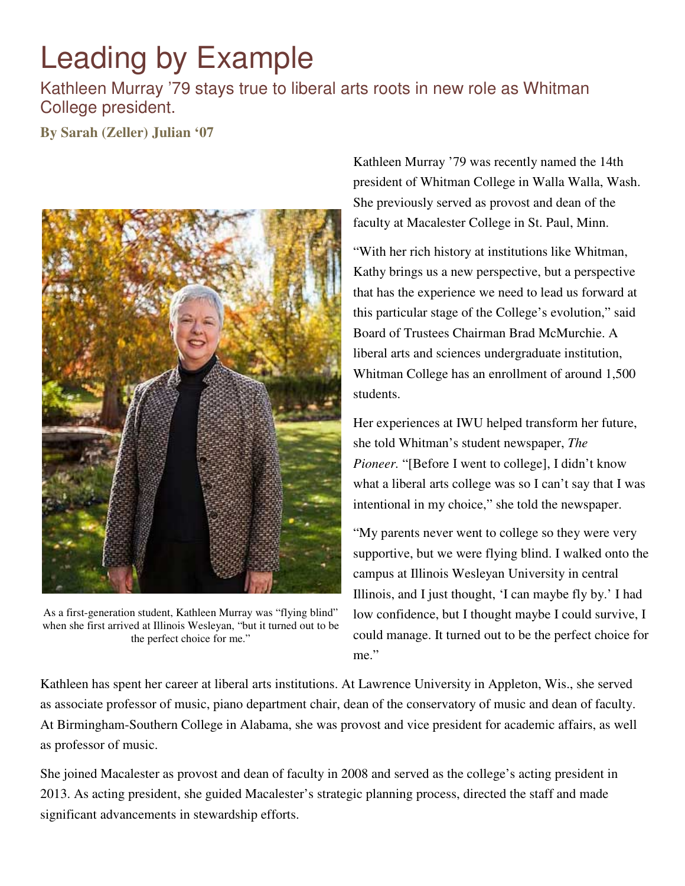# Leading by Example

### Kathleen Murray '79 stays true to liberal arts roots in new role as Whitman College president.

**By Sarah (Zeller) Julian '07**



As a first-generation student, Kathleen Murray was "flying blind" when she first arrived at Illinois Wesleyan, "but it turned out to be the perfect choice for me."

Kathleen Murray '79 was recently named the 14th president of Whitman College in Walla Walla, Wash. She previously served as provost and dean of the faculty at Macalester College in St. Paul, Minn.

"With her rich history at institutions like Whitman, Kathy brings us a new perspective, but a perspective that has the experience we need to lead us forward at this particular stage of the College's evolution," said Board of Trustees Chairman Brad McMurchie. A liberal arts and sciences undergraduate institution, Whitman College has an enrollment of around 1,500 students.

Her experiences at IWU helped transform her future, she told Whitman's student newspaper, *The Pioneer.* "[Before I went to college], I didn't know what a liberal arts college was so I can't say that I was intentional in my choice," she told the newspaper.

"My parents never went to college so they were very supportive, but we were flying blind. I walked onto the campus at Illinois Wesleyan University in central Illinois, and I just thought, 'I can maybe fly by.' I had low confidence, but I thought maybe I could survive, I could manage. It turned out to be the perfect choice for me."

Kathleen has spent her career at liberal arts institutions. At Lawrence University in Appleton, Wis., she served as associate professor of music, piano department chair, dean of the conservatory of music and dean of faculty. At Birmingham-Southern College in Alabama, she was provost and vice president for academic affairs, as well as professor of music.

She joined Macalester as provost and dean of faculty in 2008 and served as the college's acting president in 2013. As acting president, she guided Macalester's strategic planning process, directed the staff and made significant advancements in stewardship efforts.